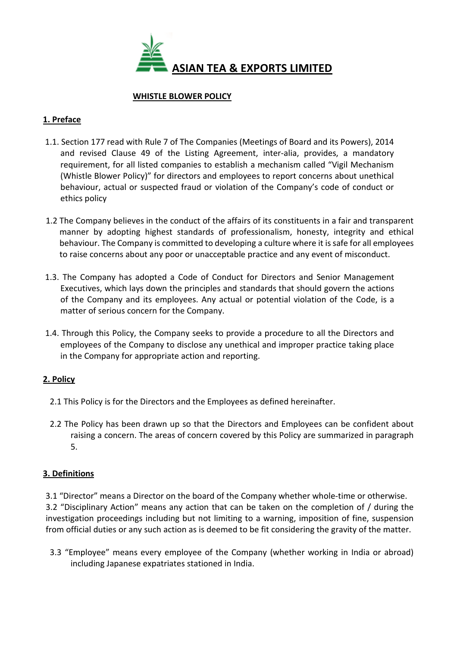

### WHISTLE BLOWER POLICY

# 1. Preface

- 1.1. Section 177 read with Rule 7 of The Companies (Meetings of Board and its Powers), 2014 and revised Clause 49 of the Listing Agreement, inter-alia, provides, a mandatory requirement, for all listed companies to establish a mechanism called "Vigil Mechanism (Whistle Blower Policy)" for directors and employees to report concerns about unethical behaviour, actual or suspected fraud or violation of the Company's code of conduct or ethics policy
- 1.2 The Company believes in the conduct of the affairs of its constituents in a fair and transparent manner by adopting highest standards of professionalism, honesty, integrity and ethical behaviour. The Company is committed to developing a culture where it is safe for all employees to raise concerns about any poor or unacceptable practice and any event of misconduct.
- 1.3. The Company has adopted a Code of Conduct for Directors and Senior Management Executives, which lays down the principles and standards that should govern the actions of the Company and its employees. Any actual or potential violation of the Code, is a matter of serious concern for the Company.
- 1.4. Through this Policy, the Company seeks to provide a procedure to all the Directors and employees of the Company to disclose any unethical and improper practice taking place in the Company for appropriate action and reporting.

# 2. Policy

- 2.1 This Policy is for the Directors and the Employees as defined hereinafter.
- 2.2 The Policy has been drawn up so that the Directors and Employees can be confident about raising a concern. The areas of concern covered by this Policy are summarized in paragraph 5.

# 3. Definitions

 3.1 "Director" means a Director on the board of the Company whether whole-time or otherwise. 3.2 "Disciplinary Action" means any action that can be taken on the completion of / during the investigation proceedings including but not limiting to a warning, imposition of fine, suspension from official duties or any such action as is deemed to be fit considering the gravity of the matter.

3.3 "Employee" means every employee of the Company (whether working in India or abroad) including Japanese expatriates stationed in India.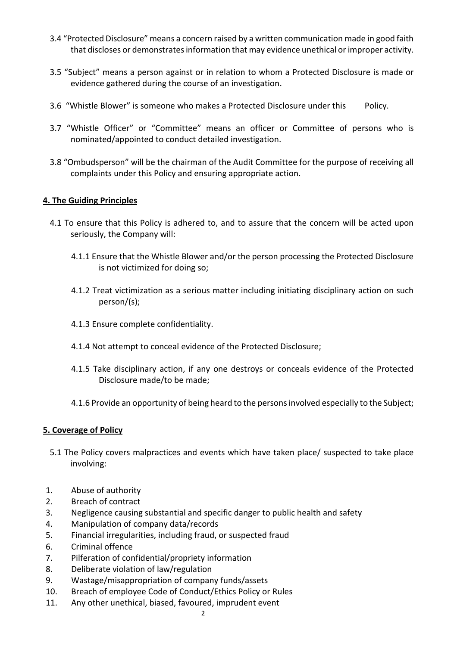- 3.4 "Protected Disclosure" means a concern raised by a written communication made in good faith that discloses or demonstrates information that may evidence unethical or improper activity.
- 3.5 "Subject" means a person against or in relation to whom a Protected Disclosure is made or evidence gathered during the course of an investigation.
- 3.6 "Whistle Blower" is someone who makes a Protected Disclosure under this Policy.
- 3.7 "Whistle Officer" or "Committee" means an officer or Committee of persons who is nominated/appointed to conduct detailed investigation.
- 3.8 "Ombudsperson" will be the chairman of the Audit Committee for the purpose of receiving all complaints under this Policy and ensuring appropriate action.

### 4. The Guiding Principles

- 4.1 To ensure that this Policy is adhered to, and to assure that the concern will be acted upon seriously, the Company will:
	- 4.1.1 Ensure that the Whistle Blower and/or the person processing the Protected Disclosure is not victimized for doing so;
	- 4.1.2 Treat victimization as a serious matter including initiating disciplinary action on such person/(s);
	- 4.1.3 Ensure complete confidentiality.
	- 4.1.4 Not attempt to conceal evidence of the Protected Disclosure;
	- 4.1.5 Take disciplinary action, if any one destroys or conceals evidence of the Protected Disclosure made/to be made;
	- 4.1.6 Provide an opportunity of being heard to the persons involved especially to the Subject;

#### 5. Coverage of Policy

- 5.1 The Policy covers malpractices and events which have taken place/ suspected to take place involving:
- 1. Abuse of authority
- 2. Breach of contract
- 3. Negligence causing substantial and specific danger to public health and safety
- 4. Manipulation of company data/records
- 5. Financial irregularities, including fraud, or suspected fraud
- 6. Criminal offence
- 7. Pilferation of confidential/propriety information
- 8. Deliberate violation of law/regulation
- 9. Wastage/misappropriation of company funds/assets
- 10. Breach of employee Code of Conduct/Ethics Policy or Rules
- 11. Any other unethical, biased, favoured, imprudent event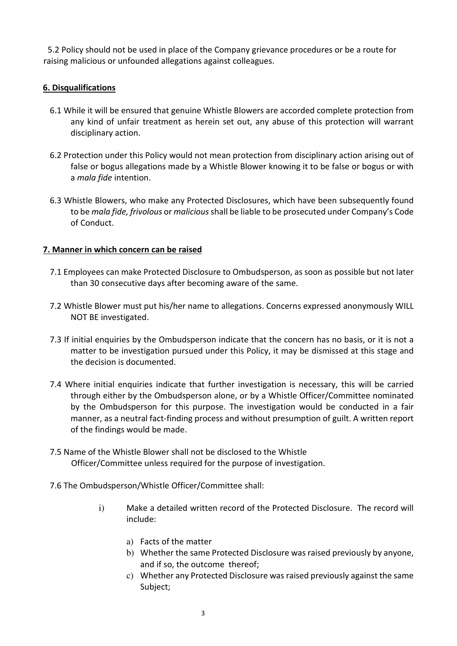5.2 Policy should not be used in place of the Company grievance procedures or be a route for raising malicious or unfounded allegations against colleagues.

### 6. Disqualifications

- 6.1 While it will be ensured that genuine Whistle Blowers are accorded complete protection from any kind of unfair treatment as herein set out, any abuse of this protection will warrant disciplinary action.
- 6.2 Protection under this Policy would not mean protection from disciplinary action arising out of false or bogus allegations made by a Whistle Blower knowing it to be false or bogus or with a mala fide intention.
- 6.3 Whistle Blowers, who make any Protected Disclosures, which have been subsequently found to be mala fide, frivolous or malicious shall be liable to be prosecuted under Company's Code of Conduct.

### 7. Manner in which concern can be raised

- 7.1 Employees can make Protected Disclosure to Ombudsperson, as soon as possible but not later than 30 consecutive days after becoming aware of the same.
- 7.2 Whistle Blower must put his/her name to allegations. Concerns expressed anonymously WILL NOT BE investigated.
- 7.3 If initial enquiries by the Ombudsperson indicate that the concern has no basis, or it is not a matter to be investigation pursued under this Policy, it may be dismissed at this stage and the decision is documented.
- 7.4 Where initial enquiries indicate that further investigation is necessary, this will be carried through either by the Ombudsperson alone, or by a Whistle Officer/Committee nominated by the Ombudsperson for this purpose. The investigation would be conducted in a fair manner, as a neutral fact-finding process and without presumption of guilt. A written report of the findings would be made.
- 7.5 Name of the Whistle Blower shall not be disclosed to the Whistle Officer/Committee unless required for the purpose of investigation.
- 7.6 The Ombudsperson/Whistle Officer/Committee shall:
	- i) Make a detailed written record of the Protected Disclosure. The record will include:
		- a) Facts of the matter
		- b) Whether the same Protected Disclosure was raised previously by anyone, and if so, the outcome thereof;
		- c) Whether any Protected Disclosure was raised previously against the same Subject;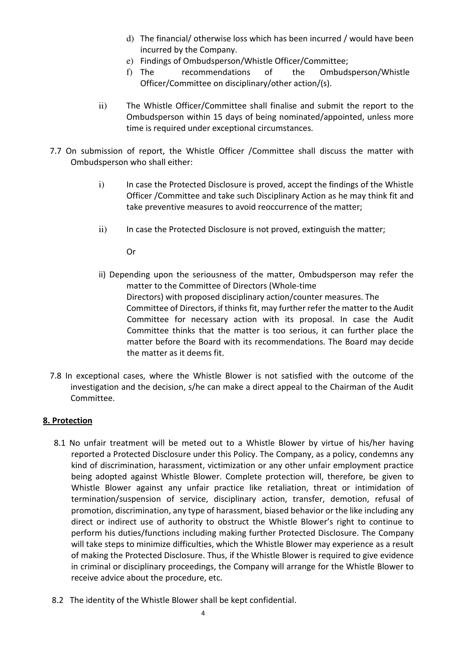- d) The financial/ otherwise loss which has been incurred / would have been incurred by the Company.
- e) Findings of Ombudsperson/Whistle Officer/Committee;
- f) The recommendations of the Ombudsperson/Whistle Officer/Committee on disciplinary/other action/(s).
- ii) The Whistle Officer/Committee shall finalise and submit the report to the Ombudsperson within 15 days of being nominated/appointed, unless more time is required under exceptional circumstances.
- 7.7 On submission of report, the Whistle Officer /Committee shall discuss the matter with Ombudsperson who shall either:
	- i) In case the Protected Disclosure is proved, accept the findings of the Whistle Officer /Committee and take such Disciplinary Action as he may think fit and take preventive measures to avoid reoccurrence of the matter;
	- ii) In case the Protected Disclosure is not proved, extinguish the matter;

Or

- ii) Depending upon the seriousness of the matter, Ombudsperson may refer the matter to the Committee of Directors (Whole-time Directors) with proposed disciplinary action/counter measures. The Committee of Directors, if thinks fit, may further refer the matter to the Audit Committee for necessary action with its proposal. In case the Audit Committee thinks that the matter is too serious, it can further place the matter before the Board with its recommendations. The Board may decide the matter as it deems fit.
- 7.8 In exceptional cases, where the Whistle Blower is not satisfied with the outcome of the investigation and the decision, s/he can make a direct appeal to the Chairman of the Audit Committee.

#### 8. Protection

- 8.1 No unfair treatment will be meted out to a Whistle Blower by virtue of his/her having reported a Protected Disclosure under this Policy. The Company, as a policy, condemns any kind of discrimination, harassment, victimization or any other unfair employment practice being adopted against Whistle Blower. Complete protection will, therefore, be given to Whistle Blower against any unfair practice like retaliation, threat or intimidation of termination/suspension of service, disciplinary action, transfer, demotion, refusal of promotion, discrimination, any type of harassment, biased behavior or the like including any direct or indirect use of authority to obstruct the Whistle Blower's right to continue to perform his duties/functions including making further Protected Disclosure. The Company will take steps to minimize difficulties, which the Whistle Blower may experience as a result of making the Protected Disclosure. Thus, if the Whistle Blower is required to give evidence in criminal or disciplinary proceedings, the Company will arrange for the Whistle Blower to receive advice about the procedure, etc.
- 8.2 The identity of the Whistle Blower shall be kept confidential.